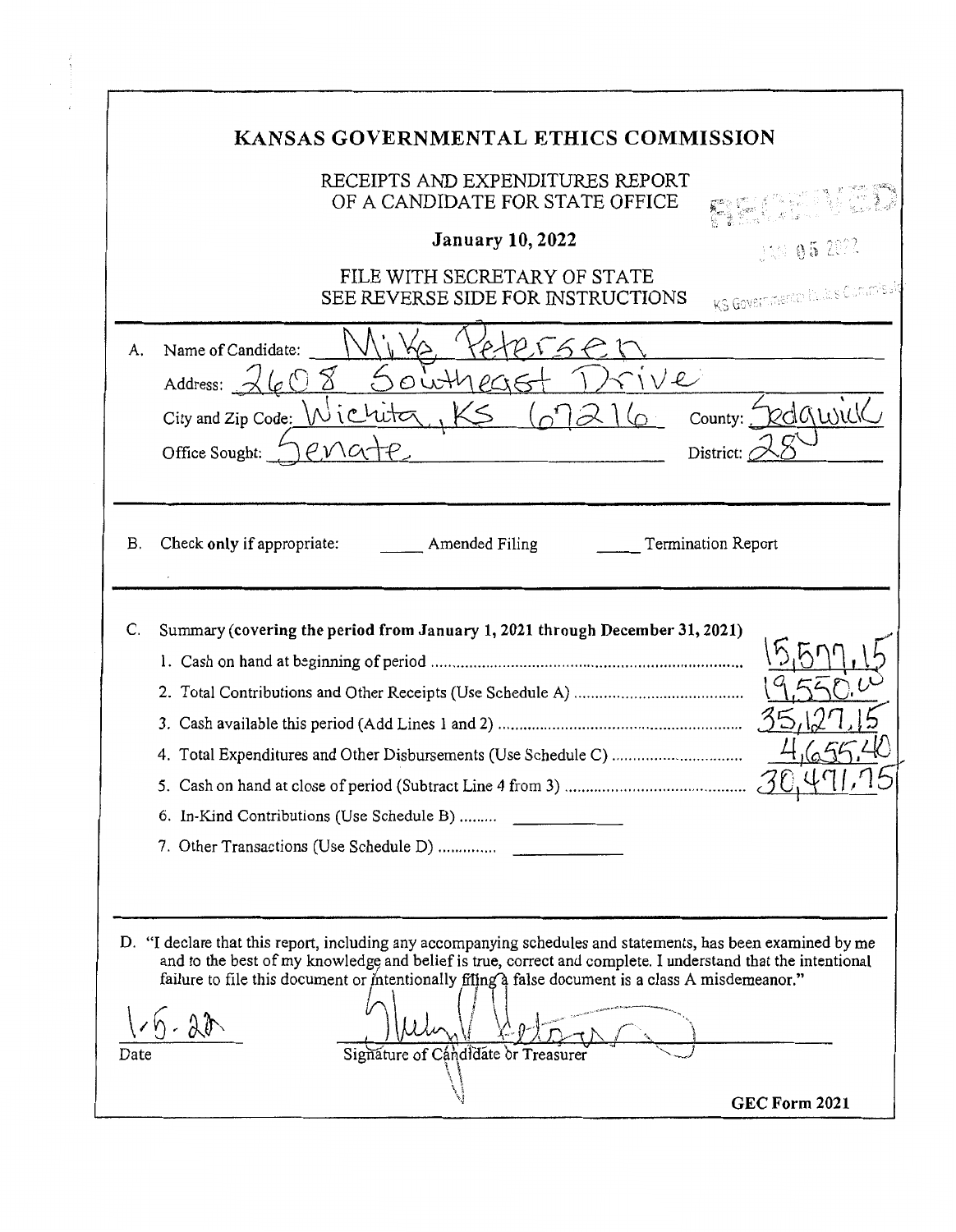| KANSAS GOVERNMENTAL ETHICS COMMISSION                                                                                                                                                                                                                                                                                                                                                                   |  |
|---------------------------------------------------------------------------------------------------------------------------------------------------------------------------------------------------------------------------------------------------------------------------------------------------------------------------------------------------------------------------------------------------------|--|
| RECEIPTS AND EXPENDITURES REPORT<br>OF A CANDIDATE FOR STATE OFFICE<br><b>January 10, 2022</b><br>14N 052022<br>FILE WITH SECRETARY OF STATE                                                                                                                                                                                                                                                            |  |
| KS Governmente facials Commissi<br>SEE REVERSE SIDE FOR INSTRUCTIONS<br>Name of Candidate:<br>A.<br>Address: $\mathcal{A}$ $\mathcal{L}$ $\circ$<br>We<br>outrec<br>County: Dedgwick<br>City and Zip Code: Wichita.<br>District:<br>Office Sought:                                                                                                                                                      |  |
| Termination Report<br>Check only if appropriate:<br>Amended Filing<br>В.                                                                                                                                                                                                                                                                                                                                |  |
| Summary (covering the period from January 1, 2021 through December 31, 2021)<br>C.<br>6. In-Kind Contributions (Use Schedule B)                                                                                                                                                                                                                                                                         |  |
| D. "I declare that this report, including any accompanying schedules and statements, has been examined by me<br>and to the best of my knowledge and belief is true, correct and complete. I understand that the intentional<br>failure to file this document or intentionally filing a false document is a class A misdemeanor."<br>.22<br>Signature of Candidate or Treasurer<br>Date<br>GEC Form 2021 |  |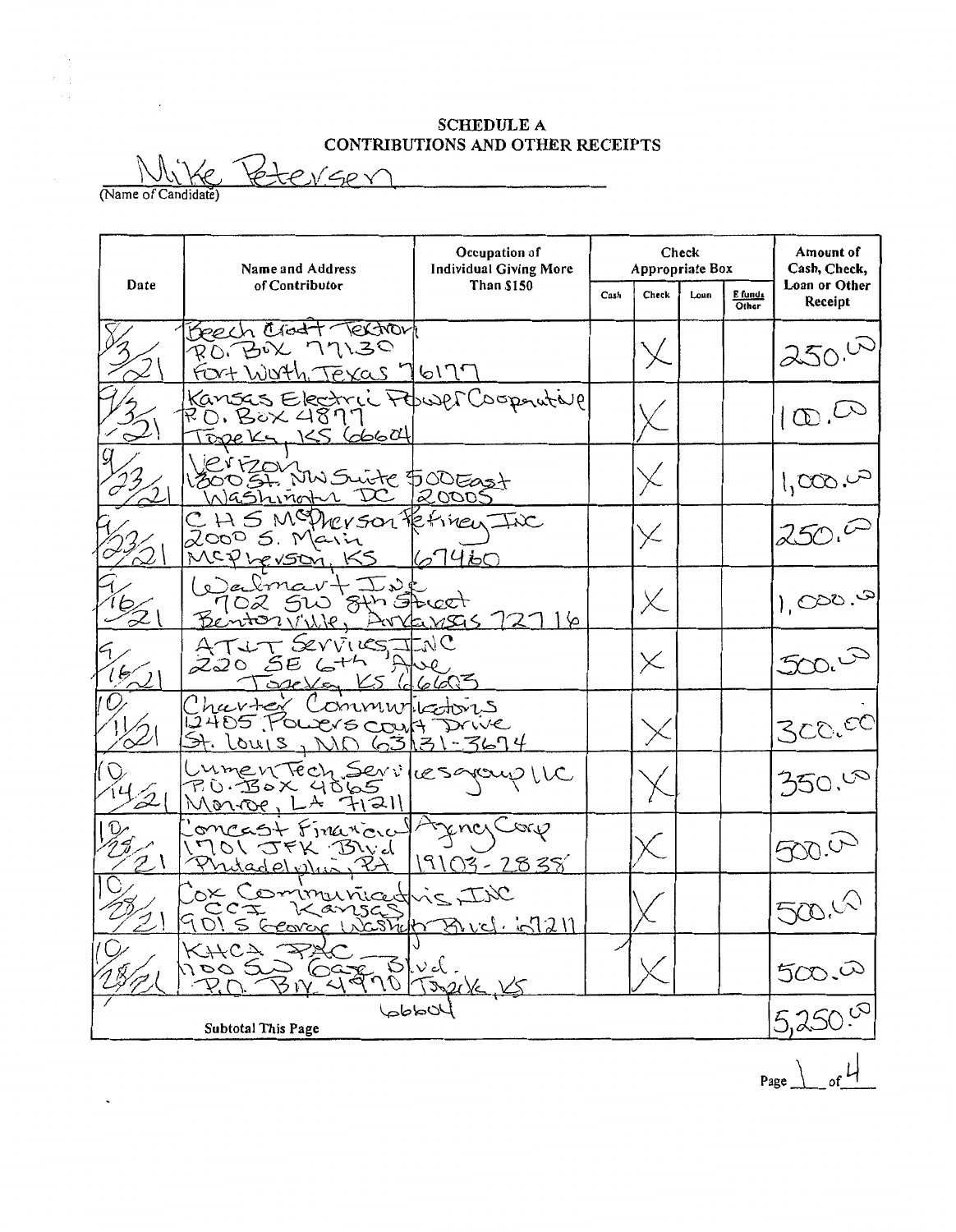## **SCHEDULE A** CONTRIBUTIONS AND OTHER RECEIPTS

teveer (Name of Candidate)

 $\sim 10$ 

÷,

 $\mathcal{N}_{\xi}$ 

|      | Name and Address                                                                | Occupation of<br><b>Individual Giving More</b> | Check<br>Appropriate Box |                       |  | Amount of<br>Cash, Check, |                          |  |
|------|---------------------------------------------------------------------------------|------------------------------------------------|--------------------------|-----------------------|--|---------------------------|--------------------------|--|
| Date | of Contributor                                                                  | <b>Than \$150</b>                              |                          | Cash<br>Check<br>Loun |  | E funds<br>Other          | Loan or Other<br>Receipt |  |
|      | Beech Crost Textron<br>RO. BOX 77130<br>Fort Worth Texas 76177                  |                                                |                          |                       |  |                           | $250^{\circ}$            |  |
|      | Kansas Electric Power Coopnutive<br>Topeks, KS GOGO4                            |                                                |                          |                       |  |                           | $\infty$                 |  |
|      | Verfzour<br>30051. NW Suite 500East<br>Washingth DC 20005                       |                                                |                          |                       |  |                           | 1,000.02                 |  |
|      | $C$ H S McDrey son terrinen Inc<br>$20005$ . Marin<br>MCPherson, KS             | 67460                                          |                          | X                     |  |                           | 250.0                    |  |
|      | Walmart Ist<br>102 510 8th Street<br>Bentonville, Arranges 12116                |                                                |                          | X.                    |  |                           | 8.000,1                  |  |
| k,   | ATUT SEVVIES JINC<br>$220556$ $6+4$<br>TopeVan KS (d6603                        |                                                |                          | X                     |  |                           | 500.07                   |  |
|      | Charter Communications<br>12405 POLICYS COULT Drive<br>St. Louis, NO 63/31-3674 |                                                |                          |                       |  |                           | 300. <sup>0C</sup>       |  |
| 'D   | LumenTech Services goup LLC<br>Monroe, LA 71211                                 |                                                |                          |                       |  |                           | 350.08                   |  |
|      | oncast Financial<br>1701 JFK Bivd<br><u>Prutadel Min PA</u>                     | encrCoro<br>$19103 - 2838$                     |                          |                       |  |                           | 500.0                    |  |
|      | Jox Communicative INC<br>9015 George Waship Buch 69211                          |                                                |                          |                       |  |                           | 500.4                    |  |
|      | KHCA RA<br>MOO SO GOVE Blud.<br>PO BN 4970 JARK KS                              |                                                |                          |                       |  |                           | 500.00                   |  |
|      | <b>Subtotal This Page</b>                                                       | $40$ ddd                                       |                          |                       |  |                           |                          |  |

Page  $\Big|$  of  $\frac{1}{2}$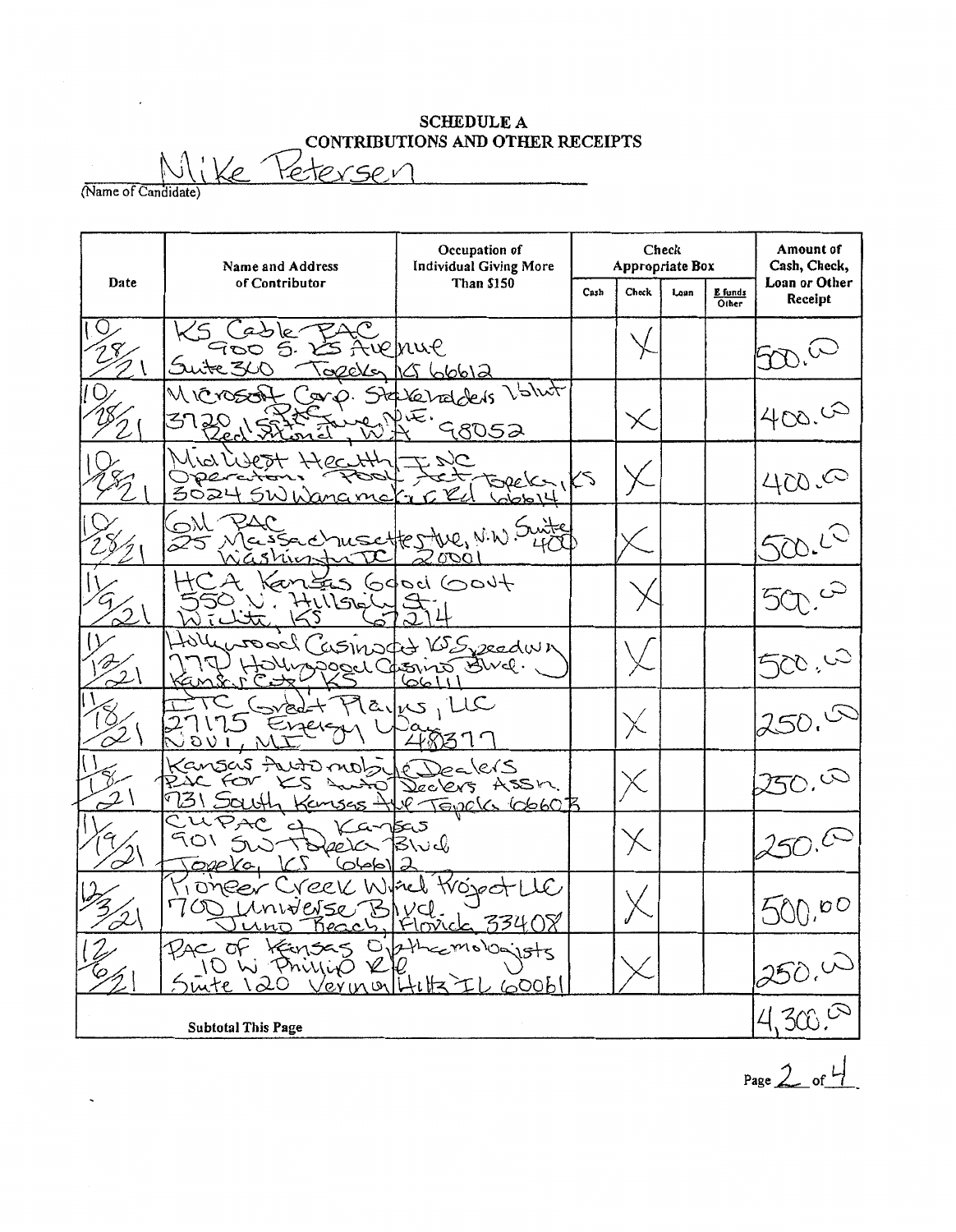## SCHEDULE A CONTRIBUTIONS AND OTHER RECEIPTS

 $e$  Yeterser (Name of Candidate)

Occupation of Check Amount of<br>ropriate Box Cash, Check, Name and Address Individual Giving More Appropriate Box Date of Contributor Than \$150 Loan or Other  $\begin{array}{|c|c|c|c|c|}\n\hline\n\text{Cash} & \text{Check} & \text{Lean} & \text{E funds} \\
\hline\n\end{array}$ Receipt  $\overline{a}$ Z le iohue DO.  $\epsilon$  $\omega$ いいつ Valut  $\leq$ relateris 6V  $400.00$  $\times$ 98052  $\searrow$ 400.00 へ Sae' 3024  $500.10$ m  $600 +$ Ó ۱۰. 2eedw)  $\chi$   $\mid$  $\mathbb{E}$  wel.  $\mathbf{r}$ جج. చ  $\mathbf{1}$  $IC$ ි 2  $\times$ nsas fruto belers  $\infty$ Jeckers ASSM. 731 & TEVOLG G660B 5 لگ ن\ک  $\mathcal{L}$ i onee  $O$ كان  $s$ ts sūite  $\lambda$  $e$ rinu ⊂ んわて Subtotal This Page

Page  $2$  of  $4$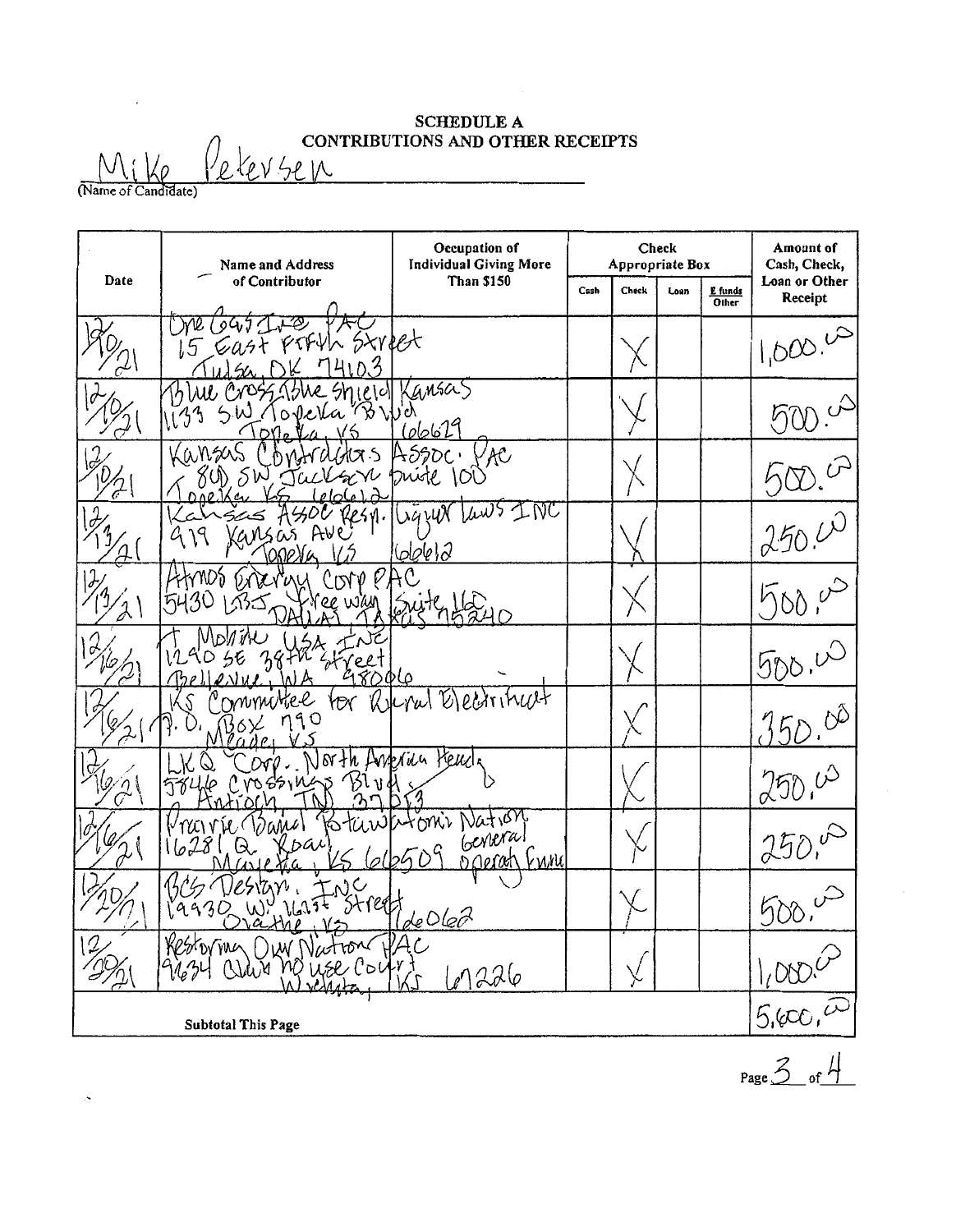### SCHEDULE A  $\bigcap$   $\bigcap$

 $\underbrace{N_{i} \mid \text{log} \mid \text{ReLU} \text{52 N}}_{\text{(Name of Candidate)}}$ 

|      | Occupation of<br>Check<br><b>Individual Giving More</b><br>Appropriate Box<br>Name and Address |                                                                                |      | Amount of<br>Cash, Check, |      |                         |                            |
|------|------------------------------------------------------------------------------------------------|--------------------------------------------------------------------------------|------|---------------------------|------|-------------------------|----------------------------|
| Date | of Contributor                                                                                 | <b>Than \$150</b>                                                              | Cash | Check                     | Loan | E funds<br><b>Other</b> | Loan or Other<br>Receipt   |
|      | 7. PD<br>Gast PIFYL Street<br>7410.3                                                           |                                                                                |      |                           |      |                         | $1,000.^{\circ}$           |
|      | 13 We Cross, 13he shield Kansas<br>*Y We<br>S.W. Topela                                        | <u>(06629</u>                                                                  |      |                           |      |                         |                            |
|      | Kansas<br>ХŚ<br>V<br>80) SW JUCK<br><b>DA0</b><br>0 <sub>0</sub>                               | A590c<br>YAC<br>puiste 100                                                     |      |                           |      |                         |                            |
|      | 2250.<br>A⊌e<br>Kansas                                                                         | Ligzer Laws INC<br>60000                                                       |      |                           |      |                         | 250.00                     |
|      | CDLA<br>'ee wian                                                                               |                                                                                |      |                           |      |                         | $700 - 6$                  |
|      | IVIDM<br>98006                                                                                 |                                                                                |      |                           |      |                         | 500.40                     |
|      | Ommother<br>YOV<br>ngo                                                                         | Report Electritical                                                            |      |                           |      |                         | 350.000                    |
|      | North American Heud<br>$\infty$<br>mossings<br>JSI<br>ν                                        |                                                                                |      |                           |      |                         | 250.00                     |
|      | $\langle \partial \alpha \mu \nu \rangle$<br>bai<br>ઝિ.                                        | pstanikutoni Nation<br>General<br>$e^{(\frac{1}{26}t)^{2}}$<br>kwnu<br>DORROCH |      |                           |      |                         | 250.4                      |
|      | $\mathsf{C}$<br><b>ウィンリ 、</b><br>$\frac{1}{2}$<br>19936<br>M;<br>V÷<br>$\mathcal{N}$ . Ce      | Street de Oleo                                                                 |      |                           |      |                         |                            |
| 2,   | Restormen Our Nation PA                                                                        | 67226                                                                          |      |                           |      |                         | $\frac{1,000,0}{5,000,00}$ |
|      | <b>Subtotal This Page</b>                                                                      |                                                                                |      |                           |      |                         |                            |

Page  $3$  of  $4$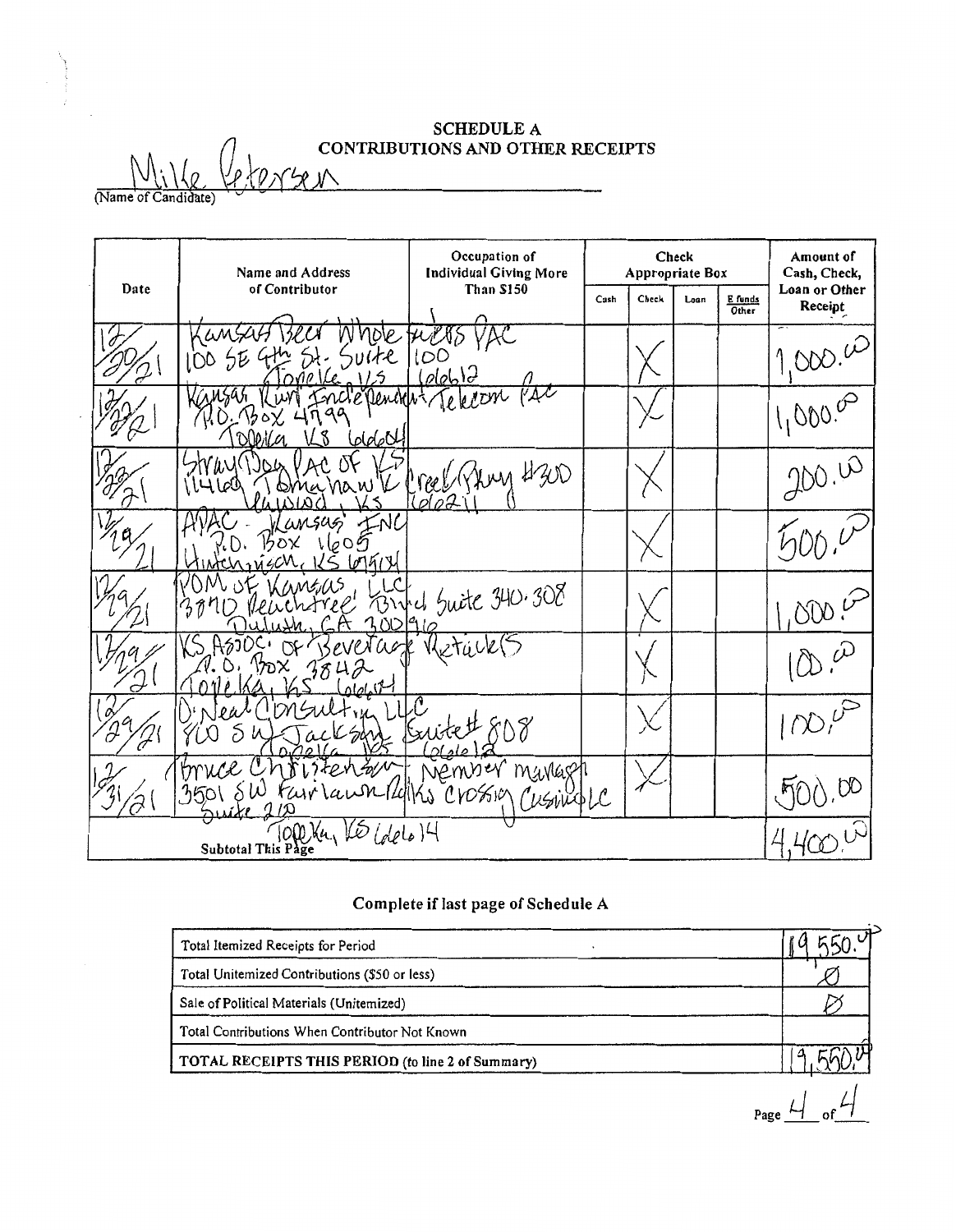# **SCHEDULE A**<br> **CONTRIBUTIONS AND OTHER RECEIPTS**

 $\frac{\sqrt{\iota} \cdot \iota_{\ell} \cdot \mathcal{L}}{\sqrt{\iota}}$ 

|      | Name and Address                       | Occupation of<br><b>Individual Giving More</b> |      | Appropriate Box | Check |                  | Amount of<br>Cash, Check, |
|------|----------------------------------------|------------------------------------------------|------|-----------------|-------|------------------|---------------------------|
| Date | of Contributor                         | Than \$150                                     | Cash | Check           | Loan  | E funds<br>Other | Loan or Other<br>Receipt  |
|      | Нł.                                    | 100<br>(olebl                                  |      |                 |       |                  | 1000.00                   |
|      | Incle Denovert<br>۹a<br>Colorad<br>กเท | VAL<br>ekton                                   |      |                 |       |                  | 1,000.00                  |
|      | naw V<br>ILLLOO<br>oma                 | reel (Yhmy 4300<br>'oI-<br>Ωl                  |      |                 |       |                  | 200.00                    |
|      | NC<br>4MSUS<br>1609<br>67512           |                                                |      |                 |       |                  |                           |
|      | 700910<br>r٣                           | Find Suite 340.308                             |      |                 |       |                  |                           |
| ℺    | evera <i>a</i><br>ነጽ                   |                                                |      |                 |       |                  |                           |
| Ò    | SAM                                    | LC,<br>Kx11                                    |      |                 |       |                  | $(1)^k$                   |
|      | trrice<br>3501                         | Nember mavlagh<br>lawn 14/1hs Crossin CusingLC |      |                 |       |                  |                           |
|      | Subtotal This Page                     | $_{elelo}$ )4                                  |      |                 |       |                  |                           |

## Complete if last page of Schedule A

| Total Itemized Receipts for Period                |  |
|---------------------------------------------------|--|
| Total Unitemized Contributions (\$50 or less)     |  |
| Sale of Political Materials (Unitemized)          |  |
| Total Contributions When Contributor Not Known    |  |
| TOTAL RECEIPTS THIS PERIOD (to line 2 of Summary) |  |

Page  $4$  of  $4$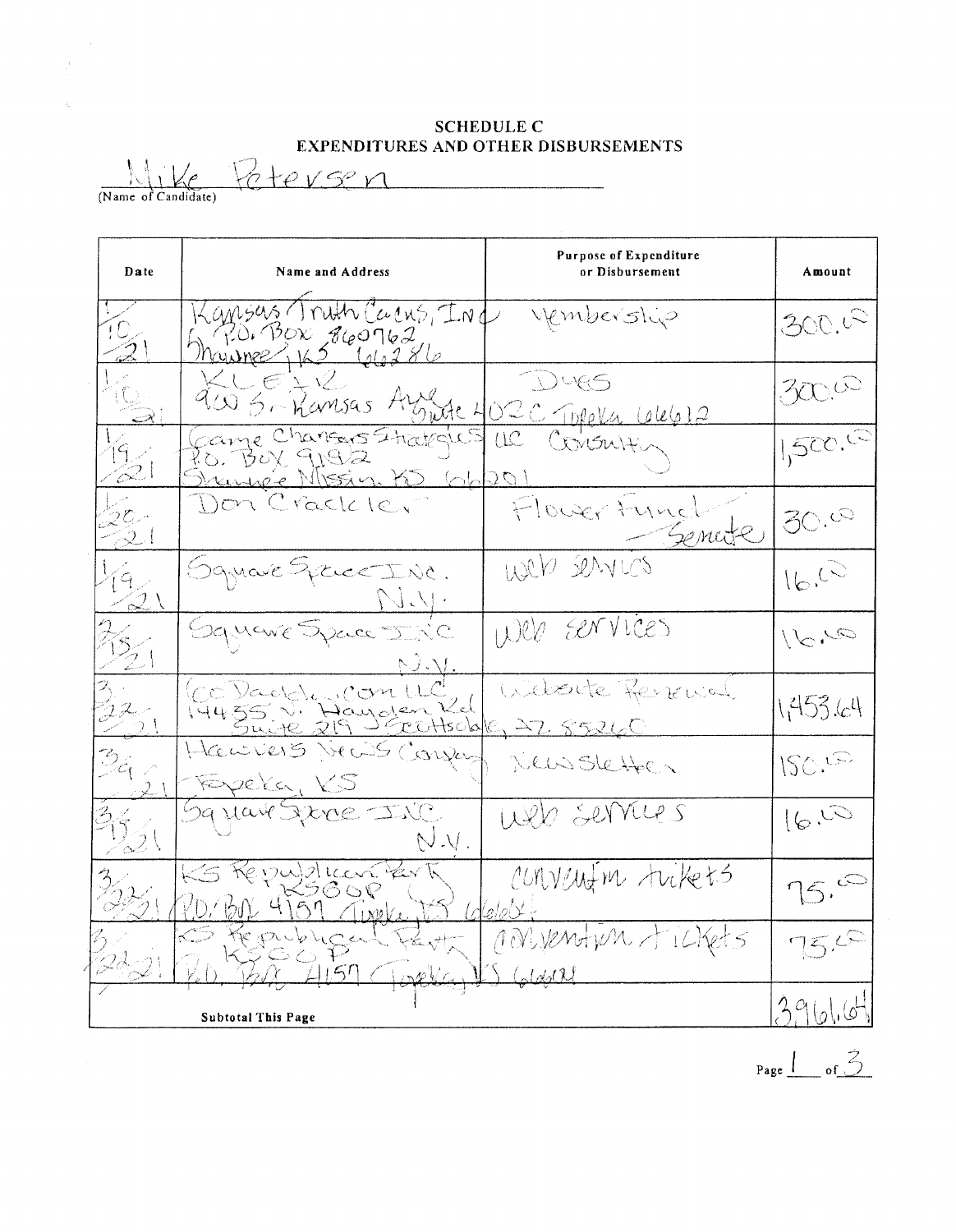SCHEDULE C EXPENDITURES AND OTHER DISBURSEMENTS

(Name of Candidate)  $2 e+e$  <u>vse</u> n

 $\bar{z}$ 

 $\epsilon$ 

| Date                           | Name and Address                                                                        | <b>Purpose of Expenditure</b><br>or Disbursement | Amount         |
|--------------------------------|-----------------------------------------------------------------------------------------|--------------------------------------------------|----------------|
|                                | Kansus Truth Carro, IND<br>$R$ 0. BOX 860762<br>$M$ cysinge $\sqrt{162}$ $\sqrt{96286}$ | vembership                                       | 300.02         |
|                                | KLEIV<br>900 S- Namsas Azzie                                                            | DURS<br><u>OZC Topela LeleG12</u>                | 3000           |
| 19 -<br>$\otimes$              | Came Chansers Strategics<br>Po. Bux 9192<br>Shanne's Missin. KD (ob                     | Consulti<br>UC<br>LOGL <sub>2</sub>              | 1500.69        |
| $2^{\mathcal{L}}$<br>$\approx$ | Don Crackle,                                                                            | Flower Funct                                     | 30.00          |
| $9 \times$<br>$\leq 2$         | Square Syric INC.<br>$\bigcup$                                                          | Web services                                     | 16.03          |
| $\overline{\mathbb{Z}}$        | Gquare Space INC<br>N.V                                                                 | Web services                                     | $Q_{\bullet}Q$ |
| $22-$                          | Co Daddin Con UC<br>14455 V. Hayolar Kd                                                 | Website Revenied                                 | 1,453.64       |
| $\mathbb{B}_{\epsilon}$ in     | Hawrens News Conju<br>Fergela, KS                                                       | Deussletter                                      | ISC.5          |
| $\lesssim$ 2 (                 | 59 Have Jerre INC<br>N.V.                                                               | Web services                                     | 16.5           |
|                                | Republican Par<br>PD. BN 4159 Timeley                                                   | CONVELTION trikets<br>$(del_2 \vee d)$           | 75.0           |
|                                | $57$ Closellar                                                                          | ronvention tickets                               | 75.6           |
|                                | <b>Subtotal This Page</b>                                                               |                                                  | 391016         |

Page  $\frac{1}{\sqrt{3}}$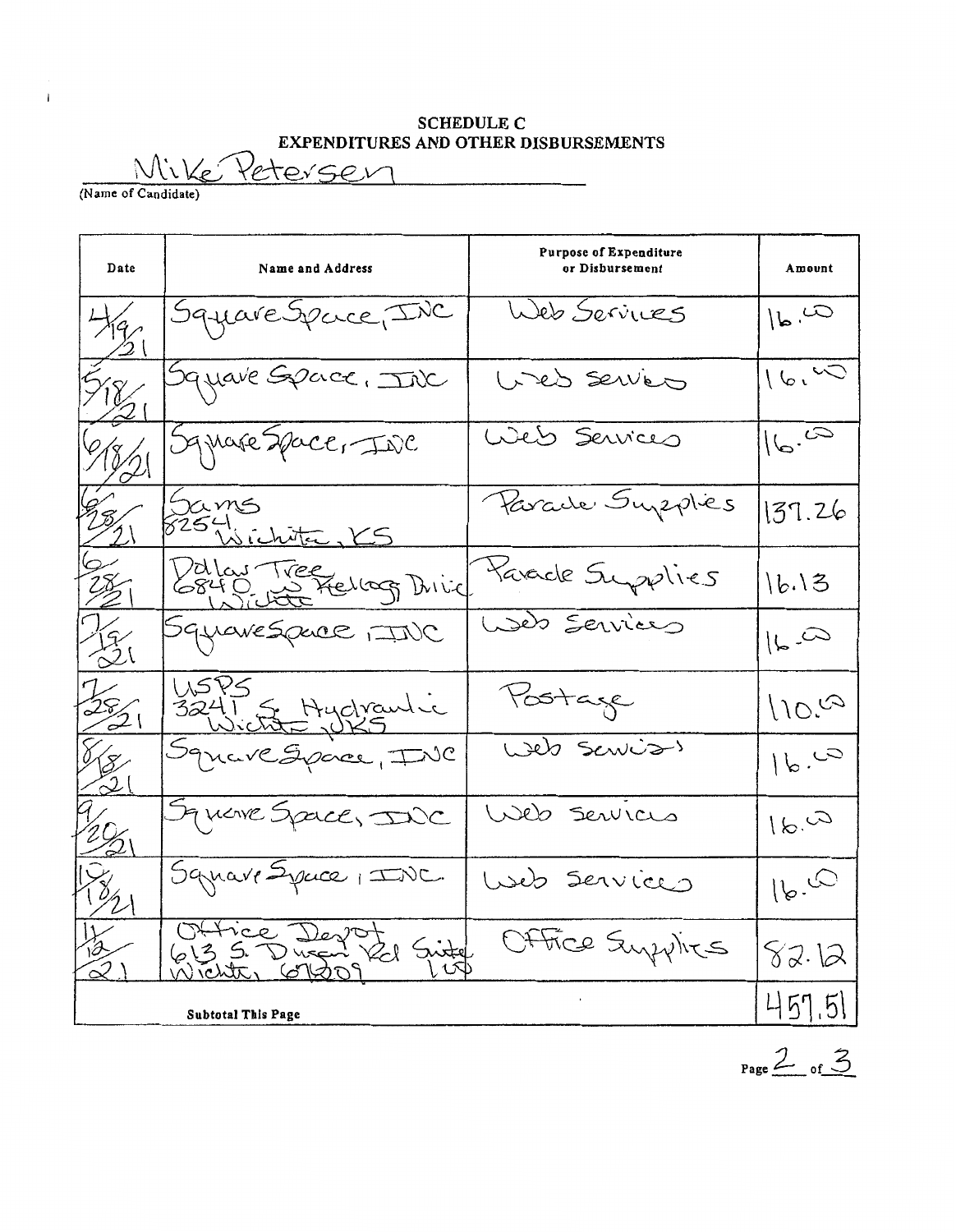## SCHEDULE C<br>EXPENDITURES AND OTHER DISBURSEMENTS

 $\frac{1}{\frac{1}{\text{Name of Candidate}}}$ Peterser

 $\mathbf{i}$ 

| Date               | <b>Name and Address</b>                       | <b>Purpose of Expenditure</b><br>or Disbursement | Amount              |
|--------------------|-----------------------------------------------|--------------------------------------------------|---------------------|
| Har                | SquareSpace, INC                              | Web Services                                     | $\omega_{\text{b}}$ |
| 518                | Square Space, Inc                             | Web services                                     | 16.40               |
|                    | Square Space, INC                             | Web Services                                     | 16.60               |
|                    | Sams<br>8254 ichitec, KS                      | Parade Supplies                                  | 137.26              |
| $\frac{28}{2}$     | Valou Tree<br>6840, Le Frellag Drive          | Karacle Supplies                                 | 16.13               |
| $\sqrt{3}$<br>62 X | Squarespace (INC                              | Web Services                                     | $\approx 1$         |
| $rac{25}{2}$       | USPS<br>3241 & Hydraulic<br>Square Space, INC | Postage                                          | 110.6               |
|                    |                                               | Web Servis)                                      | 16.60               |
|                    | Square Space, INC                             | Web Services                                     | 16.41               |
|                    | Square Syrice, INC.                           | Web Services                                     | $\omega_{\cdot}$    |
| $\leq\perp$        | Office Devot<br>613 5 Duran Val Suite         | Office Supplies                                  | 82.12               |
|                    | <b>Subtotal This Page</b>                     |                                                  | 457.51              |

 $Page \nightharpoonup 3$